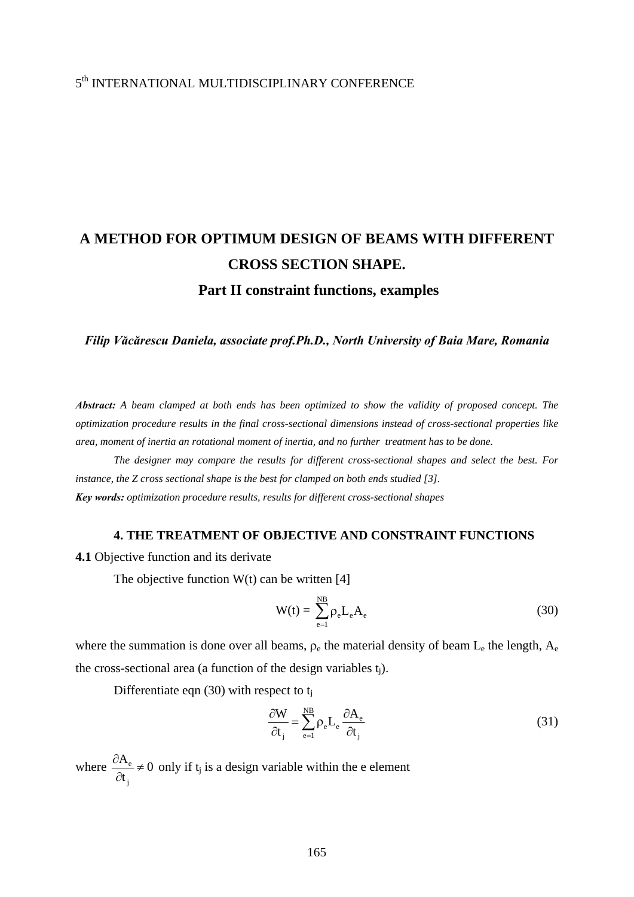# 5th INTERNATIONAL MULTIDISCIPLINARY CONFERENCE

# **A METHOD FOR OPTIMUM DESIGN OF BEAMS WITH DIFFERENT CROSS SECTION SHAPE. Part II constraint functions, examples**

*Filip Văcărescu Daniela, associate prof.Ph.D., North University of Baia Mare, Romania* 

*Abstract: A beam clamped at both ends has been optimized to show the validity of proposed concept. The optimization procedure results in the final cross-sectional dimensions instead of cross-sectional properties like area, moment of inertia an rotational moment of inertia, and no further treatment has to be done.* 

 *The designer may compare the results for different cross-sectional shapes and select the best. For instance, the Z cross sectional shape is the best for clamped on both ends studied [3]. Key words: optimization procedure results, results for different cross-sectional shapes*

#### **4. THE TREATMENT OF OBJECTIVE AND CONSTRAINT FUNCTIONS**

**4.1** Objective function and its derivate

The objective function  $W(t)$  can be written [4]

$$
W(t) = \sum_{e=1}^{NB} \rho_e L_e A_e
$$
 (30)

where the summation is done over all beams,  $\rho_e$  the material density of beam  $L_e$  the length,  $A_e$ the cross-sectional area (a function of the design variables  $t_i$ ).

Differentiate eqn (30) with respect to  $t_i$ 

$$
\frac{\partial W}{\partial t_j} = \sum_{e=1}^{NB} \rho_e L_e \frac{\partial A_e}{\partial t_j}
$$
(31)

where  $\frac{U\Lambda_e}{2}$ j  $\frac{A_e}{A} \neq 0$ t  $\frac{\partial A_e}{\partial t_i} \neq 0$  only if t<sub>j</sub> is a design variable within the e element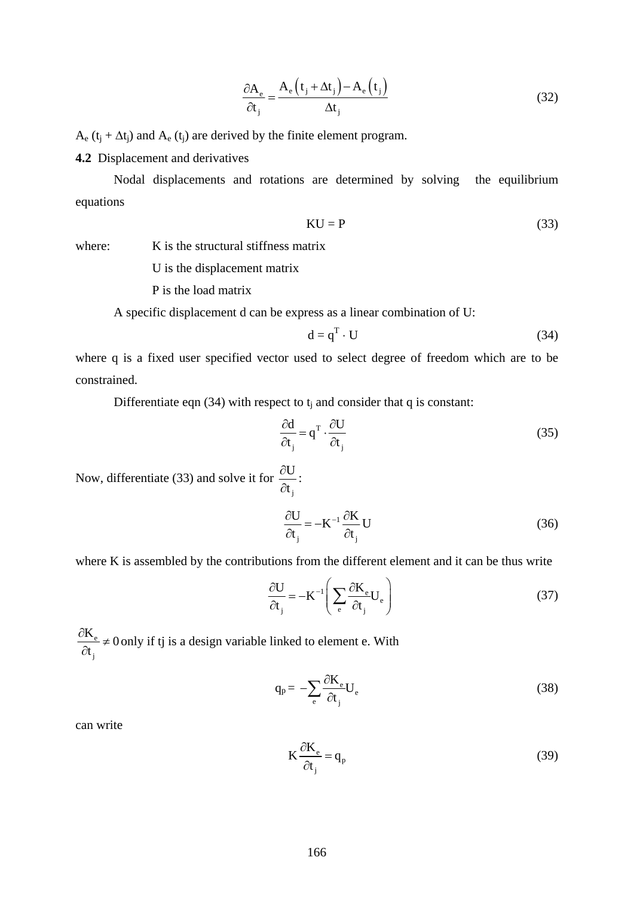$$
\frac{\partial A_e}{\partial t_j} = \frac{A_e(t_j + \Delta t_j) - A_e(t_j)}{\Delta t_j}
$$
(32)

 $A_e$  (t<sub>i</sub> +  $\Delta t_i$ ) and  $A_e$  (t<sub>i</sub>) are derived by the finite element program.

**4.2** Displacement and derivatives

 Nodal displacements and rotations are determined by solving the equilibrium equations

$$
KU = P \tag{33}
$$

where: K is the structural stiffness matrix

U is the displacement matrix

P is the load matrix

A specific displacement d can be express as a linear combination of U:

$$
d = q^T \cdot U \tag{34}
$$

where q is a fixed user specified vector used to select degree of freedom which are to be constrained.

Differentiate eqn (34) with respect to  $t_i$  and consider that q is constant:

:

$$
\frac{\partial \mathbf{d}}{\partial \mathbf{t}_j} = \mathbf{q}^{\mathrm{T}} \cdot \frac{\partial \mathbf{U}}{\partial \mathbf{t}_j}
$$
(35)

Now, differentiate (33) and solve it for j U t ∂ ∂

$$
\frac{\partial U}{\partial t_j} = -K^{-1} \frac{\partial K}{\partial t_j} U \tag{36}
$$

where K is assembled by the contributions from the different element and it can be thus write

$$
\frac{\partial U}{\partial t_j} = -K^{-1} \left( \sum_{e} \frac{\partial K_e}{\partial t_j} U_e \right)
$$
(37)

e j  $\frac{K_e}{2} \neq 0$ t  $\frac{\partial K_e}{\partial t_i}$  ≠ 0 only if tj is a design variable linked to element e. With

$$
q_p = -\sum_{e} \frac{\partial K_e}{\partial t_j} U_e \tag{38}
$$

can write

$$
K\frac{\partial K_e}{\partial t_j} = q_p \tag{39}
$$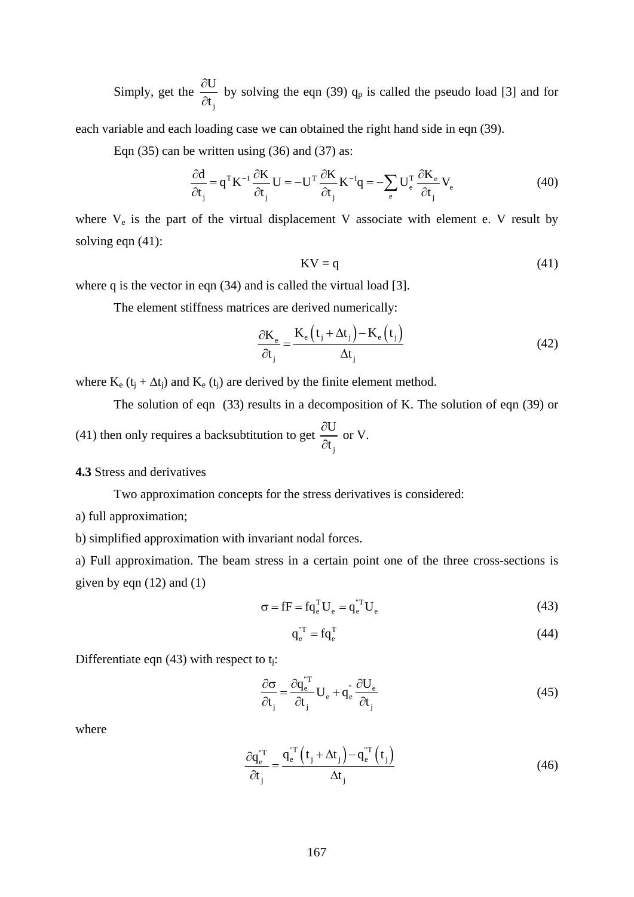Simply, get the j U t  $\frac{\partial U}{\partial t_i}$  by solving the eqn (39) q<sub>p</sub> is called the pseudo load [3] and for

each variable and each loading case we can obtained the right hand side in eqn (39).

Eqn  $(35)$  can be written using  $(36)$  and  $(37)$  as:

$$
\frac{\partial d}{\partial t_j} = q^{\mathrm{T}} K^{-1} \frac{\partial K}{\partial t_j} U = -U^{\mathrm{T}} \frac{\partial K}{\partial t_j} K^{-1} q = -\sum_{e} U_e^{\mathrm{T}} \frac{\partial K_e}{\partial t_j} V_e
$$
(40)

where  $V_e$  is the part of the virtual displacement V associate with element e. V result by solving eqn  $(41)$ :

$$
KV = q \tag{41}
$$

where q is the vector in eqn (34) and is called the virtual load [3].

The element stiffness matrices are derived numerically:

$$
\frac{\partial \mathbf{K}_{\mathbf{e}}}{\partial \mathbf{t}_{\mathbf{j}}} = \frac{\mathbf{K}_{\mathbf{e}} \left( \mathbf{t}_{\mathbf{j}} + \Delta \mathbf{t}_{\mathbf{j}} \right) - \mathbf{K}_{\mathbf{e}} \left( \mathbf{t}_{\mathbf{j}} \right)}{\Delta \mathbf{t}_{\mathbf{j}}}
$$
(42)

where  $K_e$  ( $t_j + \Delta t_j$ ) and  $K_e$  ( $t_j$ ) are derived by the finite element method.

 The solution of eqn (33) results in a decomposition of K. The solution of eqn (39) or (41) then only requires a backsubtitution to get j U t ∂ ∂ or V.

#### **4.3** Stress and derivatives

Two approximation concepts for the stress derivatives is considered:

a) full approximation;

b) simplified approximation with invariant nodal forces.

a) Full approximation. The beam stress in a certain point one of the three cross-sections is given by eqn  $(12)$  and  $(1)$ 

$$
\sigma = fF = f q_e^{\mathrm{T}} U_e = q_e^{\mathrm{T}} U_e \tag{43}
$$

$$
\mathbf{q}_{e}^{\mathrm{T}} = \mathbf{f}\mathbf{q}_{e}^{\mathrm{T}} \tag{44}
$$

Differentiate eqn  $(43)$  with respect to t<sub>i</sub>:

$$
\frac{\partial \sigma}{\partial t_{j}} = \frac{\partial q_{e}^{T T}}{\partial t_{j}} U_{e} + q_{e}^{T} \frac{\partial U_{e}}{\partial t_{j}}
$$
(45)

where

$$
\frac{\partial \mathbf{q}_{e}^{\mathrm{T}}}{\partial \mathbf{t}_{j}} = \frac{\mathbf{q}_{e}^{\mathrm{T}} \left( \mathbf{t}_{j} + \Delta \mathbf{t}_{j} \right) - \mathbf{q}_{e}^{\mathrm{T}} \left( \mathbf{t}_{j} \right)}{\Delta \mathbf{t}_{j}}
$$
(46)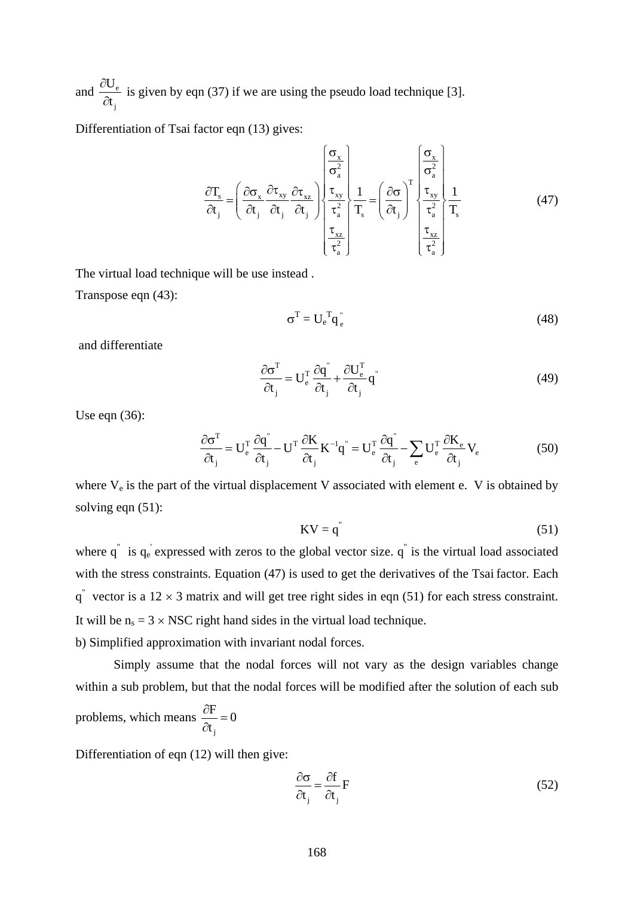and  $\frac{UU_e}{I}$ j U t  $\frac{\partial U_e}{\partial t_i}$  is given by eqn (37) if we are using the pseudo load technique [3].

Differentiation of Tsai factor eqn (13) gives:

$$
\frac{\partial T_s}{\partial t_j} = \left(\frac{\partial \sigma_x}{\partial t_j} \frac{\partial \tau_{xy}}{\partial t_j} \frac{\partial \tau_{xz}}{\partial t_j}\right) \begin{cases} \frac{\sigma_x}{\sigma_a^2} \\ \frac{\tau_{xy}}{\tau_a^2} \\ \frac{\tau_{xz}}{\tau_a^2} \end{cases} \frac{1}{T_s} = \left(\frac{\partial \sigma}{\partial t_j}\right)^T \begin{cases} \frac{\sigma_x}{\sigma_a^2} \\ \frac{\tau_{xy}}{\tau_a^2} \\ \frac{\tau_{xz}}{\tau_a^2} \end{cases} \frac{1}{T_s}
$$
(47)

The virtual load technique will be use instead .

Transpose eqn (43):

$$
\sigma^{\mathrm{T}} = U_{\mathrm{e}}^{\mathrm{T}} \mathbf{q}_{\mathrm{e}}^{\mathrm{T}} \tag{48}
$$

and differentiate

$$
\frac{\partial \sigma^{\mathrm{T}}}{\partial t_{j}} = U_{\mathrm{e}}^{\mathrm{T}} \frac{\partial q^{''}}{\partial t_{j}} + \frac{\partial U_{\mathrm{e}}^{\mathrm{T}}}{\partial t_{j}} q^{''}
$$
(49)

Use eqn (36):

$$
\frac{\partial \sigma^{\mathrm{T}}}{\partial t_{\mathrm{j}}} = U_{\mathrm{e}}^{\mathrm{T}} \frac{\partial \dot{q}^{\mathrm{T}}}{\partial t_{\mathrm{j}}} - U^{\mathrm{T}} \frac{\partial K}{\partial t_{\mathrm{j}}} K^{-1} \dot{q}^{\mathrm{T}} = U_{\mathrm{e}}^{\mathrm{T}} \frac{\partial \dot{q}^{\mathrm{T}}}{\partial t_{\mathrm{j}}} - \sum_{\mathrm{e}} U_{\mathrm{e}}^{\mathrm{T}} \frac{\partial K_{\mathrm{e}}}{\partial t_{\mathrm{j}}} V_{\mathrm{e}} \tag{50}
$$

where  $V_e$  is the part of the virtual displacement V associated with element e. V is obtained by solving eqn  $(51)$ :

$$
KV = q^{n} \tag{51}
$$

where  $q^{\dagger}$  is  $q_e$  expressed with zeros to the global vector size.  $q^{\dagger}$  is the virtual load associated with the stress constraints. Equation (47) is used to get the derivatives of the Tsai factor. Each  $q^{\dagger}$  vector is a 12  $\times$  3 matrix and will get tree right sides in eqn (51) for each stress constraint. It will be  $n_s = 3 \times NSC$  right hand sides in the virtual load technique. b) Simplified approximation with invariant nodal forces.

 Simply assume that the nodal forces will not vary as the design variables change within a sub problem, but that the nodal forces will be modified after the solution of each sub problems, which means j  $\frac{\text{F}}{\text{F}} = 0$  $\frac{\partial F}{\partial t_i} =$ 

Differentiation of eqn (12) will then give:

$$
\frac{\partial \sigma}{\partial t_j} = \frac{\partial f}{\partial t_j} F \tag{52}
$$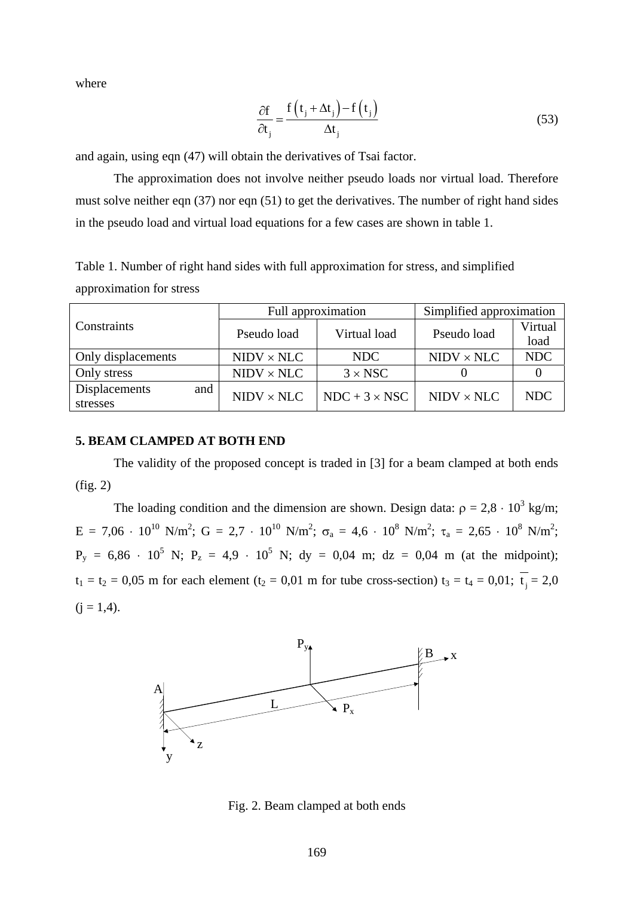where

$$
\frac{\partial f}{\partial t_j} = \frac{f(t_j + \Delta t_j) - f(t_j)}{\Delta t_j}
$$
\n(53)

and again, using eqn (47) will obtain the derivatives of Tsai factor.

 The approximation does not involve neither pseudo loads nor virtual load. Therefore must solve neither eqn (37) nor eqn (51) to get the derivatives. The number of right hand sides in the pseudo load and virtual load equations for a few cases are shown in table 1.

Table 1. Number of right hand sides with full approximation for stress, and simplified approximation for stress

|                      |                   | Full approximation   | Simplified approximation |            |
|----------------------|-------------------|----------------------|--------------------------|------------|
| Constraints          | Pseudo load       | Virtual load         | Pseudo load              | Virtual    |
|                      |                   |                      |                          | load       |
| Only displacements   | $NIDV \times NLC$ | NDC                  | $NIDV \times NLC$        | <b>NDC</b> |
| Only stress          | $NIDV \times NLC$ | $3 \times NSC$       |                          |            |
| Displacements<br>and | $NIDV \times NLC$ | $NDC + 3 \times NSC$ | $NIDV \times NLC$        | <b>NDC</b> |
| stresses             |                   |                      |                          |            |

### **5. BEAM CLAMPED AT BOTH END**

 The validity of the proposed concept is traded in [3] for a beam clamped at both ends (fig. 2)

The loading condition and the dimension are shown. Design data:  $\rho = 2.8 \cdot 10^3$  kg/m;  $E = 7,06 \cdot 10^{10}$  N/m<sup>2</sup>; G = 2,7 · 10<sup>10</sup> N/m<sup>2</sup>; σ<sub>a</sub> = 4,6 · 10<sup>8</sup> N/m<sup>2</sup>; τ<sub>a</sub> = 2,65 · 10<sup>8</sup> N/m<sup>2</sup>;  $P_y = 6,86 \cdot 10^5$  N;  $P_z = 4.9 \cdot 10^5$  N; dy = 0.04 m; dz = 0.04 m (at the midpoint);  $t_1 = t_2 = 0.05$  m for each element ( $t_2 = 0.01$  m for tube cross-section)  $t_3 = t_4 = 0.01$ ;  $\overline{t_1} = 2.0$  $(i = 1, 4)$ .



Fig. 2. Beam clamped at both ends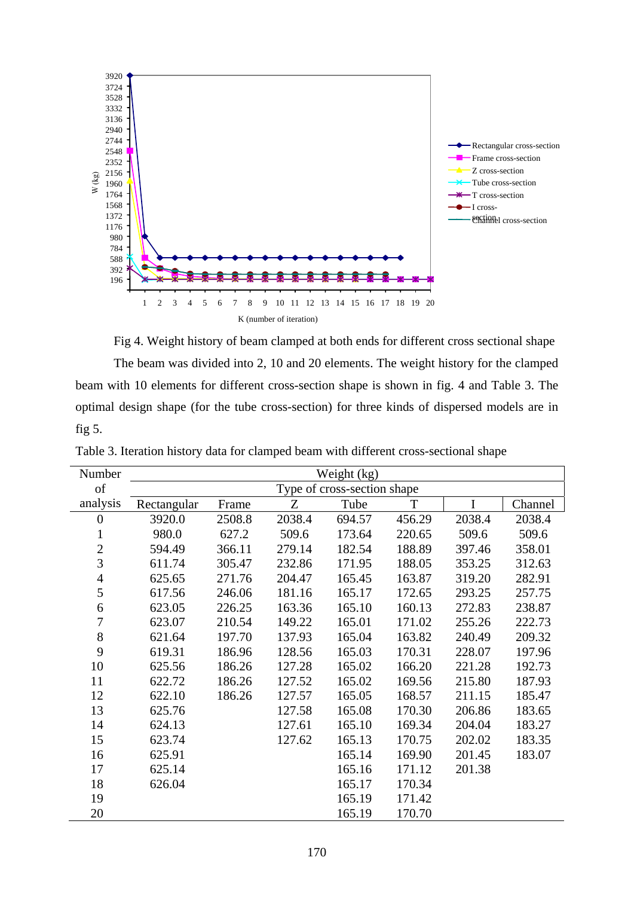

Fig 4. Weight history of beam clamped at both ends for different cross sectional shape The beam was divided into 2, 10 and 20 elements. The weight history for the clamped beam with 10 elements for different cross-section shape is shown in fig. 4 and Table 3. The optimal design shape (for the tube cross-section) for three kinds of dispersed models are in fig 5.

| Number           | Weight (kg)                 |        |        |        |             |        |         |
|------------------|-----------------------------|--------|--------|--------|-------------|--------|---------|
| of               | Type of cross-section shape |        |        |        |             |        |         |
| analysis         | Rectangular                 | Frame  | Z      | Tube   | $\mathbf T$ | I      | Channel |
| $\boldsymbol{0}$ | 3920.0                      | 2508.8 | 2038.4 | 694.57 | 456.29      | 2038.4 | 2038.4  |
| $\mathbf{1}$     | 980.0                       | 627.2  | 509.6  | 173.64 | 220.65      | 509.6  | 509.6   |
| $\mathbf{2}$     | 594.49                      | 366.11 | 279.14 | 182.54 | 188.89      | 397.46 | 358.01  |
| 3                | 611.74                      | 305.47 | 232.86 | 171.95 | 188.05      | 353.25 | 312.63  |
| $\overline{4}$   | 625.65                      | 271.76 | 204.47 | 165.45 | 163.87      | 319.20 | 282.91  |
| 5                | 617.56                      | 246.06 | 181.16 | 165.17 | 172.65      | 293.25 | 257.75  |
| 6                | 623.05                      | 226.25 | 163.36 | 165.10 | 160.13      | 272.83 | 238.87  |
| $\overline{7}$   | 623.07                      | 210.54 | 149.22 | 165.01 | 171.02      | 255.26 | 222.73  |
| 8                | 621.64                      | 197.70 | 137.93 | 165.04 | 163.82      | 240.49 | 209.32  |
| 9                | 619.31                      | 186.96 | 128.56 | 165.03 | 170.31      | 228.07 | 197.96  |
| 10               | 625.56                      | 186.26 | 127.28 | 165.02 | 166.20      | 221.28 | 192.73  |
| 11               | 622.72                      | 186.26 | 127.52 | 165.02 | 169.56      | 215.80 | 187.93  |
| 12               | 622.10                      | 186.26 | 127.57 | 165.05 | 168.57      | 211.15 | 185.47  |
| 13               | 625.76                      |        | 127.58 | 165.08 | 170.30      | 206.86 | 183.65  |
| 14               | 624.13                      |        | 127.61 | 165.10 | 169.34      | 204.04 | 183.27  |
| 15               | 623.74                      |        | 127.62 | 165.13 | 170.75      | 202.02 | 183.35  |
| 16               | 625.91                      |        |        | 165.14 | 169.90      | 201.45 | 183.07  |
| 17               | 625.14                      |        |        | 165.16 | 171.12      | 201.38 |         |
| 18               | 626.04                      |        |        | 165.17 | 170.34      |        |         |
| 19               |                             |        |        | 165.19 | 171.42      |        |         |
| 20               |                             |        |        | 165.19 | 170.70      |        |         |

Table 3. Iteration history data for clamped beam with different cross-sectional shape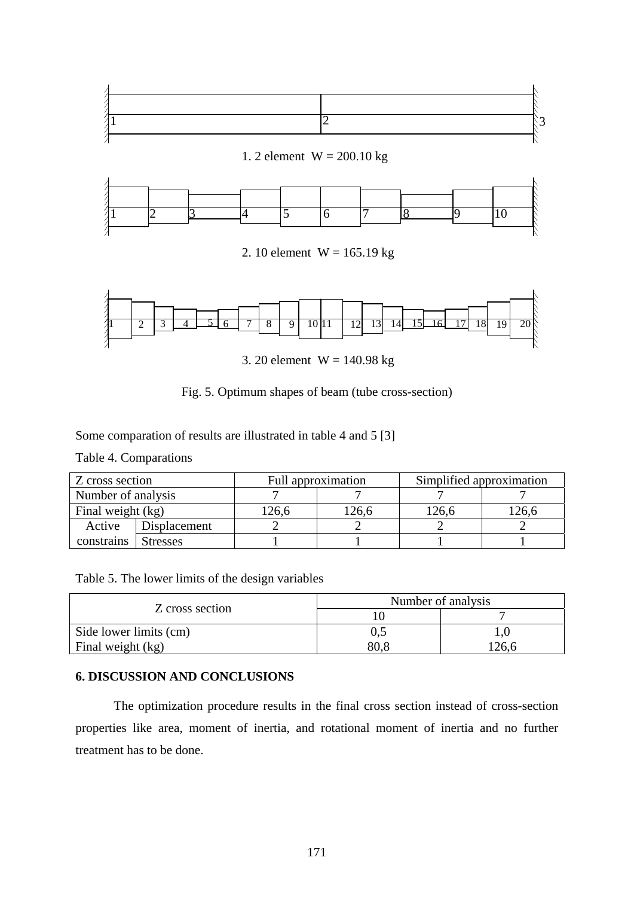



Some comparation of results are illustrated in table 4 and 5 [3]

Table 4. Comparations

| Z cross section    |                 | Simplified approximation<br>Full approximation |       |      |       |
|--------------------|-----------------|------------------------------------------------|-------|------|-------|
| Number of analysis |                 |                                                |       |      |       |
| Final weight (kg)  |                 | 26.6                                           | !26,6 | 26,6 | .26,6 |
| Active             | Displacement    |                                                |       |      |       |
| constrains         | <b>Stresses</b> |                                                |       |      |       |

Table 5. The lower limits of the design variables

|                        | Number of analysis |       |  |
|------------------------|--------------------|-------|--|
| Z cross section        |                    |       |  |
| Side lower limits (cm) | U.S                |       |  |
| Final weight (kg)      | 80.8               | 126,6 |  |

## **6. DISCUSSION AND CONCLUSIONS**

 The optimization procedure results in the final cross section instead of cross-section properties like area, moment of inertia, and rotational moment of inertia and no further treatment has to be done.